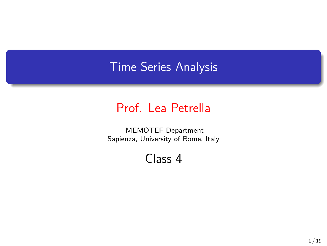# Time Series Analysis

## Prof. Lea Petrella

MEMOTEF Department Sapienza, University of Rome, Italy

Class 4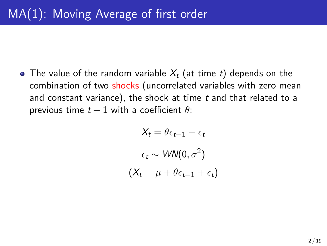The value of the random variable *X<sup>t</sup>* (at time *t*) depends on the combination of two shocks (uncorrelated variables with zero mean and constant variance), the shock at time *t* and that related to a previous time  $t-1$  with a coefficient  $\theta$ :

$$
X_t = \theta \epsilon_{t-1} + \epsilon_t
$$

$$
\epsilon_t \sim \text{WN}(0, \sigma^2)
$$

$$
(X_t = \mu + \theta \epsilon_{t-1} + \epsilon_t)
$$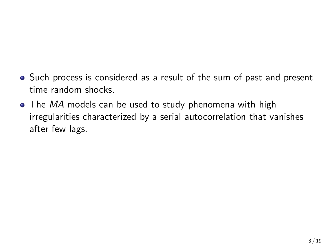- Such process is considered as a result of the sum of past and present time random shocks.
- The *MA* models can be used to study phenomena with high irregularities characterized by a serial autocorrelation that vanishes after few lags.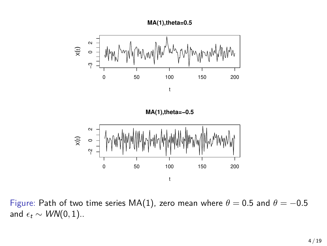



Figure: Path of two time series MA(1), zero mean where  $\theta = 0.5$  and  $\theta = -0.5$ and  $\epsilon_t \sim \text{WN}(0, 1)$ ..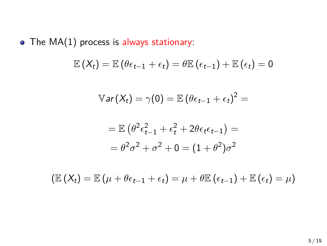$\bullet$  The MA(1) process is always stationary:

$$
\mathbb{E}\left(X_t\right) = \mathbb{E}\left(\theta\epsilon_{t-1} + \epsilon_t\right) = \theta\mathbb{E}\left(\epsilon_{t-1}\right) + \mathbb{E}\left(\epsilon_t\right) = 0
$$

$$
\mathbb{V}ar(X_t) = \gamma(0) = \mathbb{E}(\theta \epsilon_{t-1} + \epsilon_t)^2 =
$$

$$
= \mathbb{E} \left( \theta^2 \epsilon_{t-1}^2 + \epsilon_t^2 + 2\theta \epsilon_t \epsilon_{t-1} \right) =
$$

$$
= \theta^2 \sigma^2 + \sigma^2 + 0 = (1 + \theta^2) \sigma^2
$$

 $(\mathbb{E}(X_t) = \mathbb{E}(\mu + \theta \epsilon_{t-1} + \epsilon_t) = \mu + \theta \mathbb{E}(\epsilon_{t-1}) + \mathbb{E}(\epsilon_t) = \mu)$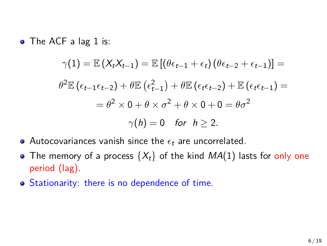• The ACF a lag 1 is:

$$
\gamma(1) = \mathbb{E}\left(X_tX_{t-1}\right) = \mathbb{E}\left[\left(\theta\epsilon_{t-1} + \epsilon_t\right)\left(\theta\epsilon_{t-2} + \epsilon_{t-1}\right)\right] =
$$

$$
\theta^2 \mathbb{E}\left(\epsilon_{t-1}\epsilon_{t-2}\right) + \theta \mathbb{E}\left(\epsilon_{t-1}^2\right) + \theta \mathbb{E}\left(\epsilon_t\epsilon_{t-2}\right) + \mathbb{E}\left(\epsilon_t\epsilon_{t-1}\right) =
$$

$$
= \theta^2 \times 0 + \theta \times \sigma^2 + \theta \times 0 + 0 = \theta\sigma^2
$$

$$
\gamma(h) = 0 \quad \text{for} \quad h \ge 2.
$$

- Autocovariances vanish since the *ϵ<sup>t</sup>* are uncorrelated.
- The memory of a process  $\{X_t\}$  of the kind  $MA(1)$  lasts for only one period (lag).
- Stationarity: there is no dependence of time.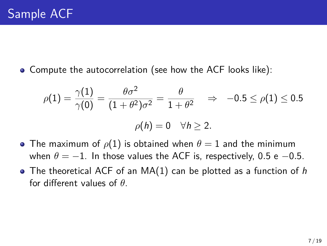Compute the autocorrelation (see how the ACF looks like):

$$
\rho(1) = \frac{\gamma(1)}{\gamma(0)} = \frac{\theta \sigma^2}{(1 + \theta^2)\sigma^2} = \frac{\theta}{1 + \theta^2} \quad \Rightarrow \quad -0.5 \le \rho(1) \le 0.5
$$

$$
\rho(h) = 0 \quad \forall h \ge 2.
$$

- The maximum of  $\rho(1)$  is obtained when  $\theta = 1$  and the minimum when  $\theta = -1$ . In those values the ACF is, respectively, 0.5 e -0.5.
- The theoretical ACF of an MA(1) can be plotted as a function of *h* for different values of *θ*.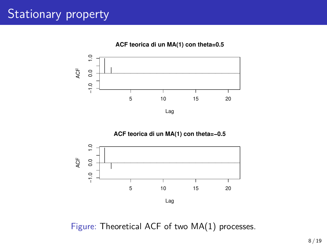# Stationary property





Figure: Theoretical ACF of two MA(1) processes.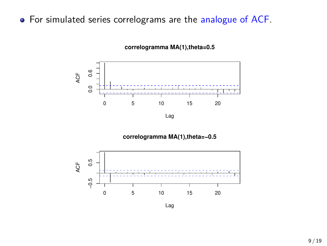#### For simulated series correlograms are the analogue of ACF.



**correlogramma MA(1),theta=0.5**

Lag

**correlogramma MA(1),theta=−0.5**



Lag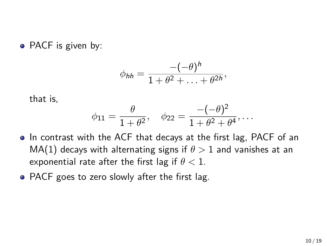• PACF is given by:

$$
\phi_{hh}=\frac{-(-\theta)^h}{1+\theta^2+\ldots+\theta^{2h}},
$$

that is,

$$
\phi_{11} = \frac{\theta}{1 + \theta^2}, \quad \phi_{22} = \frac{-(-\theta)^2}{1 + \theta^2 + \theta^4}, \dots
$$

- In contrast with the ACF that decays at the first lag, PACF of an MA(1) decays with alternating signs if  $\theta > 1$  and vanishes at an exponential rate after the first lag if *θ <* 1.
- PACF goes to zero slowly after the first lag.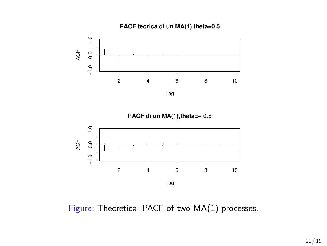



**PACF di un MA(1),theta=− 0.5**



Figure: Theoretical PACF of two MA(1) processes.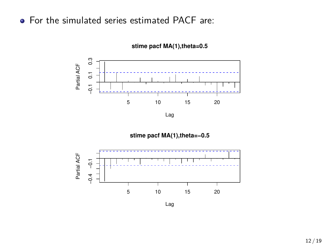#### • For the simulated series estimated PACF are:



**stime pacf MA(1),theta=0.5**

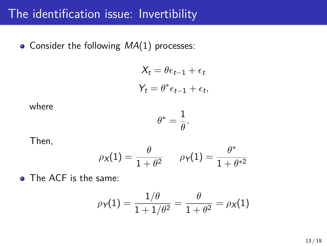### The identification issue: Invertibility

• Consider the following  $MA(1)$  processes:

$$
X_t = \theta \epsilon_{t-1} + \epsilon_t
$$

$$
Y_t = \theta^* \epsilon_{t-1} + \epsilon_t,
$$

where

$$
\theta^* = \frac{1}{\theta}.
$$

Then,

$$
\rho_{\mathsf{X}}(1) = \frac{\theta}{1+\theta^2} \qquad \rho_{\mathsf{Y}}(1) = \frac{\theta^*}{1+\theta^{*2}}
$$

• The ACF is the same:

$$
\rho_Y(1) = \frac{1/\theta}{1 + 1/\theta^2} = \frac{\theta}{1 + \theta^2} = \rho_X(1)
$$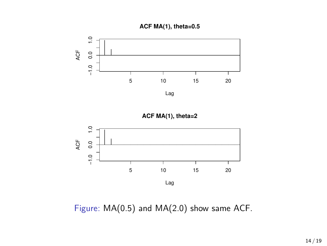







Figure: MA(0.5) and MA(2.0) show same ACF.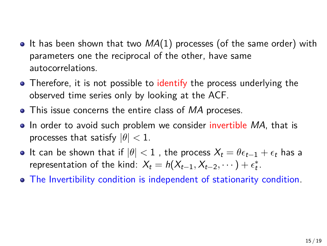- $\bullet$  It has been shown that two  $MA(1)$  processes (of the same order) with parameters one the reciprocal of the other, have same autocorrelations.
- Therefore, it is not possible to identify the process underlying the observed time series only by looking at the ACF.
- This issue concerns the entire class of *MA* proceses.
- In order to avoid such problem we consider invertible MA, that is processes that satisfy  $|\theta|$  < 1.
- $\bullet$  It can be shown that if  $|\theta|$  < 1 , the process  $X_t = \theta \epsilon_{t-1} + \epsilon_t$  has a representation of the kind:  $X_t = h(X_{t-1}, X_{t-2}, \dots) + \epsilon_t^*$ .
- The Invertibility condition is independent of stationarity condition.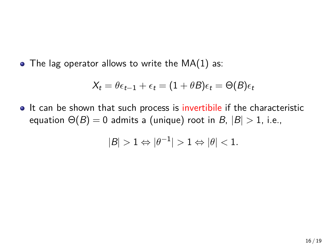$\bullet$  The lag operator allows to write the MA(1) as:

$$
X_t = \theta \epsilon_{t-1} + \epsilon_t = (1 + \theta B)\epsilon_t = \Theta(B)\epsilon_t
$$

• It can be shown that such process is invertibile if the characteristic equation  $\Theta(B) = 0$  admits a (unique) root in *B*,  $|B| > 1$ , i.e.,

$$
|B|>1\Leftrightarrow |\theta^{-1}|>1\Leftrightarrow |\theta|<1.
$$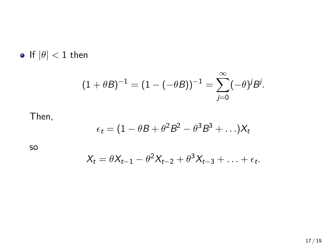$\bullet$  If  $|\theta| < 1$  then

$$
(1 + \theta B)^{-1} = (1 - (-\theta B))^{-1} = \sum_{j=0}^{\infty} (-\theta)^j B^j.
$$

#### Then,

$$
\epsilon_t = (1 - \theta B + \theta^2 B^2 - \theta^3 B^3 + \ldots) X_t
$$

so

$$
X_t = \theta X_{t-1} - \theta^2 X_{t-2} + \theta^3 X_{t-3} + \ldots + \epsilon_t.
$$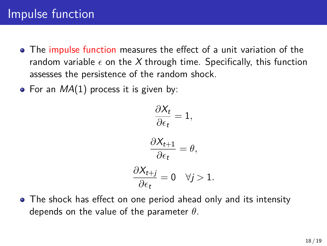- The impulse function measures the effect of a unit variation of the random variable  $\epsilon$  on the X through time. Specifically, this function assesses the persistence of the random shock.
- For an *MA*(1) process it is given by:

$$
\frac{\partial X_t}{\partial \epsilon_t} = 1,
$$
  

$$
\frac{\partial X_{t+1}}{\partial \epsilon_t} = \theta,
$$
  

$$
\frac{\partial X_{t+j}}{\partial \epsilon_t} = 0 \quad \forall j > 1.
$$

The shock has effect on one period ahead only and its intensity depends on the value of the parameter *θ*.